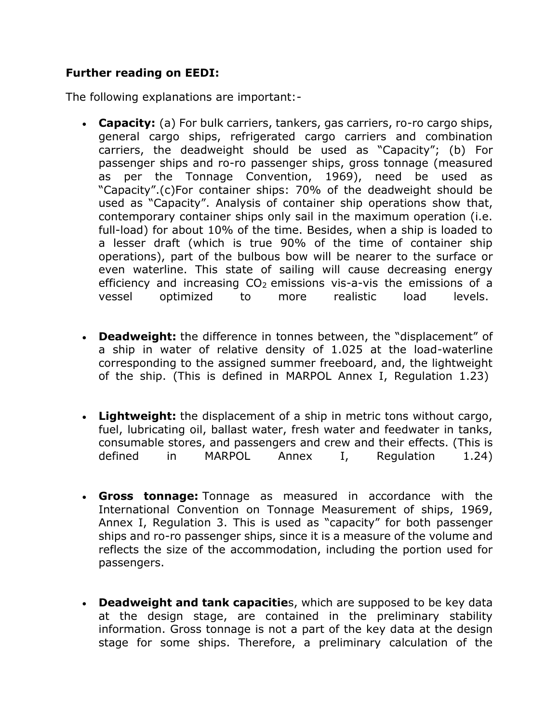### **Further reading on EEDI:**

The following explanations are important:-

- **Capacity:** (a) For bulk carriers, tankers, gas carriers, ro-ro cargo ships, general cargo ships, refrigerated cargo carriers and combination carriers, the deadweight should be used as "Capacity"; (b) For passenger ships and ro-ro passenger ships, gross tonnage (measured as per the Tonnage Convention, 1969), need be used as "Capacity".(c)For container ships: 70% of the deadweight should be used as "Capacity". Analysis of container ship operations show that, contemporary container ships only sail in the maximum operation (i.e. full-load) for about 10% of the time. Besides, when a ship is loaded to a lesser draft (which is true 90% of the time of container ship operations), part of the bulbous bow will be nearer to the surface or even waterline. This state of sailing will cause decreasing energy efficiency and increasing  $CO<sub>2</sub>$  emissions vis-a-vis the emissions of a vessel optimized to more realistic load levels.
- **Deadweight:** the difference in tonnes between, the "displacement" of a ship in water of relative density of 1.025 at the load-waterline corresponding to the assigned summer freeboard, and, the lightweight of the ship. (This is defined in MARPOL Annex I, Regulation 1.23)
- **Lightweight:** the displacement of a ship in metric tons without cargo, fuel, lubricating oil, ballast water, fresh water and feedwater in tanks, consumable stores, and passengers and crew and their effects. (This is defined in MARPOL Annex I, Regulation 1.24)
- **Gross tonnage:** Tonnage as measured in accordance with the International Convention on Tonnage Measurement of ships, 1969, Annex I, Regulation 3. This is used as "capacity" for both passenger ships and ro-ro passenger ships, since it is a measure of the volume and reflects the size of the accommodation, including the portion used for passengers.
- **Deadweight and tank capacitie**s, which are supposed to be key data at the design stage, are contained in the preliminary stability information. Gross tonnage is not a part of the key data at the design stage for some ships. Therefore, a preliminary calculation of the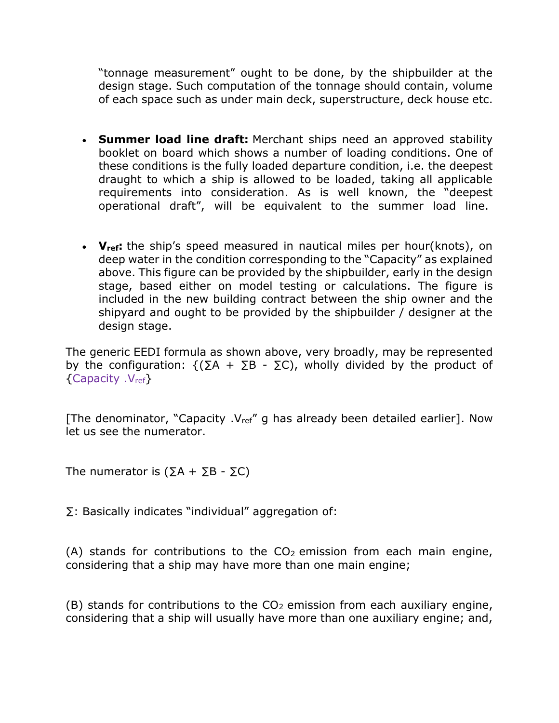"tonnage measurement" ought to be done, by the shipbuilder at the design stage. Such computation of the tonnage should contain, volume of each space such as under main deck, superstructure, deck house etc.

- **Summer load line draft:** Merchant ships need an approved stability booklet on board which shows a number of loading conditions. One of these conditions is the fully loaded departure condition, i.e. the deepest draught to which a ship is allowed to be loaded, taking all applicable requirements into consideration. As is well known, the "deepest operational draft", will be equivalent to the summer load line.
- **Vref:** the ship's speed measured in nautical miles per hour(knots), on deep water in the condition corresponding to the "Capacity" as explained above. This figure can be provided by the shipbuilder, early in the design stage, based either on model testing or calculations. The figure is included in the new building contract between the ship owner and the shipyard and ought to be provided by the shipbuilder / designer at the design stage.

The generic EEDI formula as shown above, very broadly, may be represented by the configuration:  ${(\Sigma A + \Sigma B - \Sigma C)}$ , wholly divided by the product of {Capacity .Vref}

[The denominator, "Capacity . $V_{ref}$ " g has already been detailed earlier]. Now let us see the numerator.

The numerator is  $(\Sigma A + \Sigma B - \Sigma C)$ 

∑: Basically indicates "individual" aggregation of:

(A) stands for contributions to the  $CO<sub>2</sub>$  emission from each main engine, considering that a ship may have more than one main engine;

 $(B)$  stands for contributions to the  $CO<sub>2</sub>$  emission from each auxiliary engine, considering that a ship will usually have more than one auxiliary engine; and,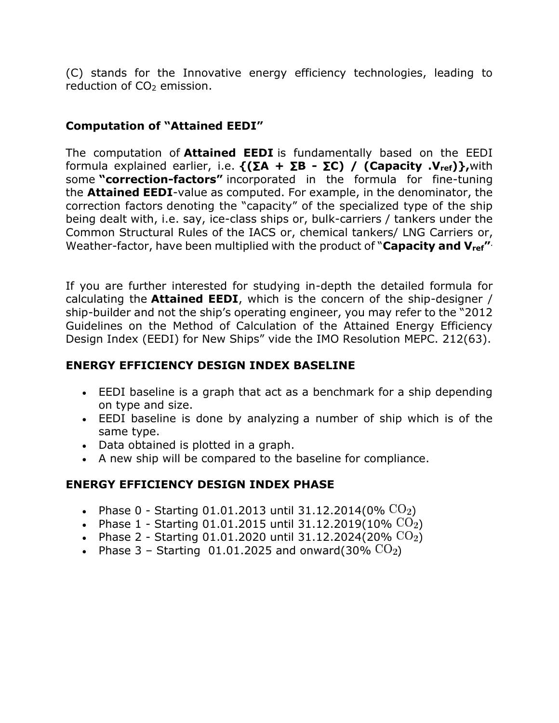(C) stands for the Innovative energy efficiency technologies, leading to reduction of  $CO<sub>2</sub>$  emission.

# **Computation of "Attained EEDI"**

The computation of **Attained EEDI** is fundamentally based on the EEDI formula explained earlier, i.e. **{(∑A + ∑B - ∑C) / (Capacity .Vref)},**with some **"correction-factors"** incorporated in the formula for fine-tuning the **Attained EEDI**-value as computed. For example, in the denominator, the correction factors denoting the "capacity" of the specialized type of the ship being dealt with, i.e. say, ice-class ships or, bulk-carriers / tankers under the Common Structural Rules of the IACS or, chemical tankers/ LNG Carriers or, Weather-factor, have been multiplied with the product of "**Capacity and Vref"** .

If you are further interested for studying in-depth the detailed formula for calculating the **Attained EEDI**, which is the concern of the ship-designer / ship-builder and not the ship's operating engineer, you may refer to the "2012 Guidelines on the Method of Calculation of the Attained Energy Efficiency Design Index (EEDI) for New Ships" vide the IMO Resolution MEPC. 212(63).

## **ENERGY EFFICIENCY DESIGN INDEX BASELINE**

- EEDI baseline is a graph that act as a benchmark for a ship depending on type and size.
- EEDI baseline is done by analyzing a number of ship which is of the same type.
- Data obtained is plotted in a graph.
- A new ship will be compared to the baseline for compliance.

# **ENERGY EFFICIENCY DESIGN INDEX PHASE**

- Phase 0 Starting 01.01.2013 until 31.12.2014(0%  $CO<sub>2</sub>$ )
- Phase 1 Starting 01.01.2015 until 31.12.2019(10%  $CO<sub>2</sub>$ )
- Phase 2 Starting 01.01.2020 until 31.12.2024(20%  $CO<sub>2</sub>$ )
- Phase 3 Starting 01.01.2025 and onward(30%  $CO<sub>2</sub>$ )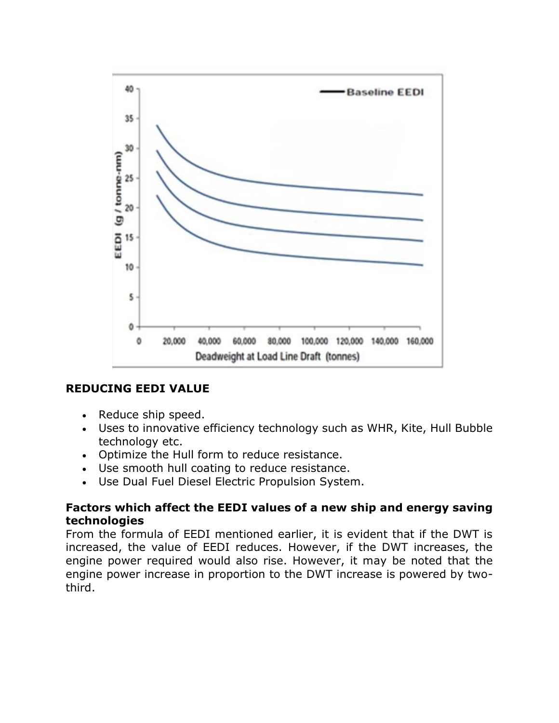

#### **REDUCING EEDI VALUE**

- Reduce ship speed.
- Uses to innovative efficiency technology such as WHR, Kite, Hull Bubble technology etc.
- Optimize the Hull form to reduce resistance.
- Use smooth hull coating to reduce resistance.
- Use Dual Fuel Diesel Electric Propulsion System.

#### **Factors which affect the EEDI values of a new ship and energy saving technologies**

From the formula of EEDI mentioned earlier, it is evident that if the DWT is increased, the value of EEDI reduces. However, if the DWT increases, the engine power required would also rise. However, it may be noted that the engine power increase in proportion to the DWT increase is powered by twothird.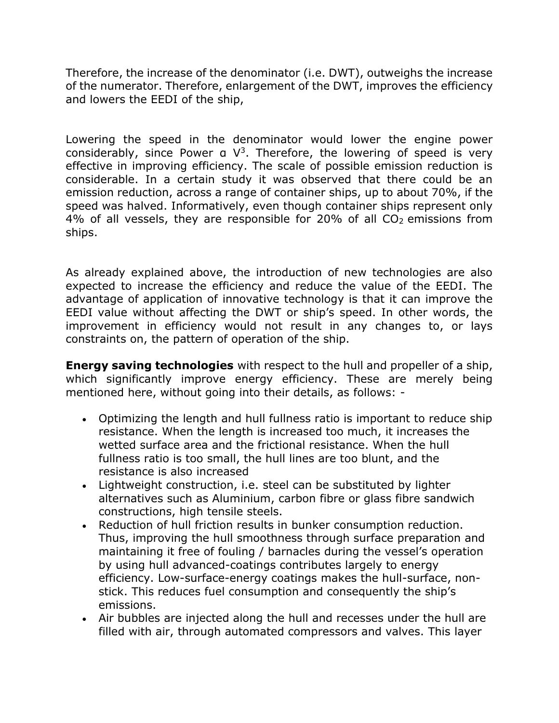Therefore, the increase of the denominator (i.e. DWT), outweighs the increase of the numerator. Therefore, enlargement of the DWT, improves the efficiency and lowers the EEDI of the ship,

Lowering the speed in the denominator would lower the engine power considerably, since Power  $a \nabla^3$ . Therefore, the lowering of speed is very effective in improving efficiency. The scale of possible emission reduction is considerable. In a certain study it was observed that there could be an emission reduction, across a range of container ships, up to about 70%, if the speed was halved. Informatively, even though container ships represent only 4% of all vessels, they are responsible for 20% of all  $CO<sub>2</sub>$  emissions from ships.

As already explained above, the introduction of new technologies are also expected to increase the efficiency and reduce the value of the EEDI. The advantage of application of innovative technology is that it can improve the EEDI value without affecting the DWT or ship's speed. In other words, the improvement in efficiency would not result in any changes to, or lays constraints on, the pattern of operation of the ship.

**Energy saving technologies** with respect to the hull and propeller of a ship, which significantly improve energy efficiency. These are merely being mentioned here, without going into their details, as follows: -

- Optimizing the length and hull fullness ratio is important to reduce ship resistance. When the length is increased too much, it increases the wetted surface area and the frictional resistance. When the hull fullness ratio is too small, the hull lines are too blunt, and the resistance is also increased
- Lightweight construction, i.e. steel can be substituted by lighter alternatives such as Aluminium, carbon fibre or glass fibre sandwich constructions, high tensile steels.
- Reduction of hull friction results in bunker consumption reduction. Thus, improving the hull smoothness through surface preparation and maintaining it free of fouling / barnacles during the vessel's operation by using hull advanced-coatings contributes largely to energy efficiency. Low-surface-energy coatings makes the hull-surface, nonstick. This reduces fuel consumption and consequently the ship's emissions.
- Air bubbles are injected along the hull and recesses under the hull are filled with air, through automated compressors and valves. This layer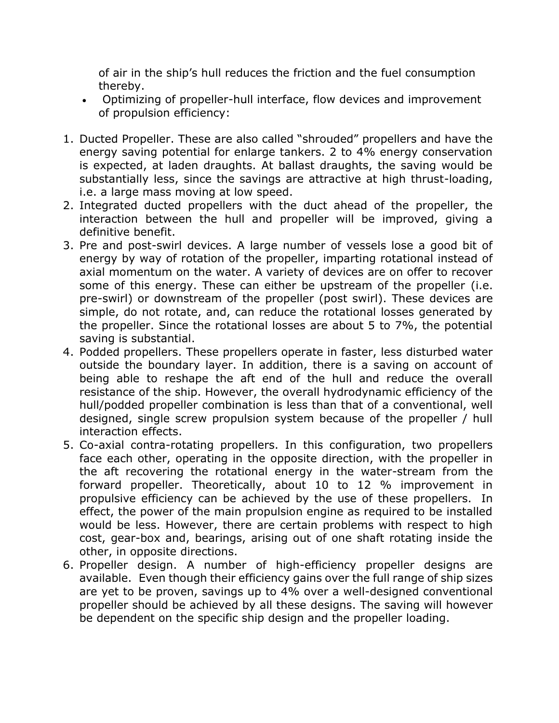of air in the ship's hull reduces the friction and the fuel consumption thereby.

- Optimizing of propeller-hull interface, flow devices and improvement of propulsion efficiency:
- 1. Ducted Propeller. These are also called "shrouded" propellers and have the energy saving potential for enlarge tankers. 2 to 4% energy conservation is expected, at laden draughts. At ballast draughts, the saving would be substantially less, since the savings are attractive at high thrust-loading, i.e. a large mass moving at low speed.
- 2. Integrated ducted propellers with the duct ahead of the propeller, the interaction between the hull and propeller will be improved, giving a definitive benefit.
- 3. Pre and post-swirl devices. A large number of vessels lose a good bit of energy by way of rotation of the propeller, imparting rotational instead of axial momentum on the water. A variety of devices are on offer to recover some of this energy. These can either be upstream of the propeller (i.e. pre-swirl) or downstream of the propeller (post swirl). These devices are simple, do not rotate, and, can reduce the rotational losses generated by the propeller. Since the rotational losses are about 5 to 7%, the potential saving is substantial.
- 4. Podded propellers. These propellers operate in faster, less disturbed water outside the boundary layer. In addition, there is a saving on account of being able to reshape the aft end of the hull and reduce the overall resistance of the ship. However, the overall hydrodynamic efficiency of the hull/podded propeller combination is less than that of a conventional, well designed, single screw propulsion system because of the propeller / hull interaction effects.
- 5. Co-axial contra-rotating propellers. In this configuration, two propellers face each other, operating in the opposite direction, with the propeller in the aft recovering the rotational energy in the water-stream from the forward propeller. Theoretically, about 10 to 12 % improvement in propulsive efficiency can be achieved by the use of these propellers. In effect, the power of the main propulsion engine as required to be installed would be less. However, there are certain problems with respect to high cost, gear-box and, bearings, arising out of one shaft rotating inside the other, in opposite directions.
- 6. Propeller design. A number of high-efficiency propeller designs are available. Even though their efficiency gains over the full range of ship sizes are yet to be proven, savings up to 4% over a well-designed conventional propeller should be achieved by all these designs. The saving will however be dependent on the specific ship design and the propeller loading.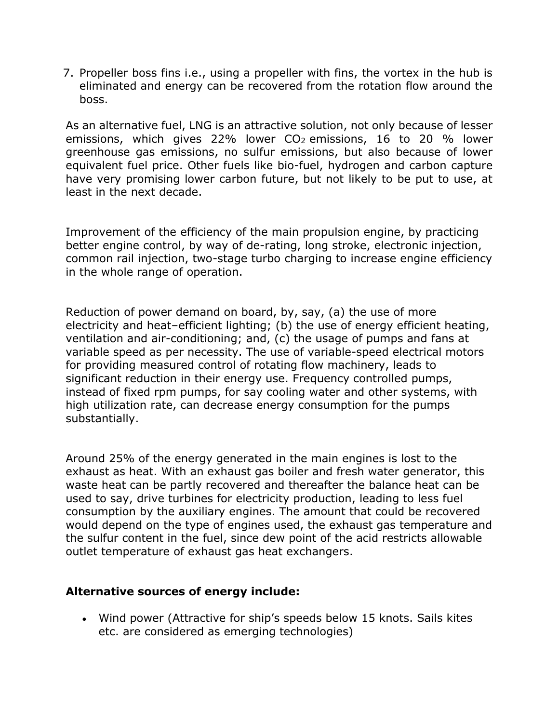7. Propeller boss fins i.e., using a propeller with fins, the vortex in the hub is eliminated and energy can be recovered from the rotation flow around the boss.

As an alternative fuel, LNG is an attractive solution, not only because of lesser emissions, which gives 22% lower  $CO<sub>2</sub>$  emissions, 16 to 20 % lower greenhouse gas emissions, no sulfur emissions, but also because of lower equivalent fuel price. Other fuels like bio-fuel, hydrogen and carbon capture have very promising lower carbon future, but not likely to be put to use, at least in the next decade.

Improvement of the efficiency of the main propulsion engine, by practicing better engine control, by way of de-rating, long stroke, electronic injection, common rail injection, two-stage turbo charging to increase engine efficiency in the whole range of operation.

Reduction of power demand on board, by, say, (a) the use of more electricity and heat–efficient lighting; (b) the use of energy efficient heating, ventilation and air-conditioning; and, (c) the usage of pumps and fans at variable speed as per necessity. The use of variable-speed electrical motors for providing measured control of rotating flow machinery, leads to significant reduction in their energy use. Frequency controlled pumps, instead of fixed rpm pumps, for say cooling water and other systems, with high utilization rate, can decrease energy consumption for the pumps substantially.

Around 25% of the energy generated in the main engines is lost to the exhaust as heat. With an exhaust gas boiler and fresh water generator, this waste heat can be partly recovered and thereafter the balance heat can be used to say, drive turbines for electricity production, leading to less fuel consumption by the auxiliary engines. The amount that could be recovered would depend on the type of engines used, the exhaust gas temperature and the sulfur content in the fuel, since dew point of the acid restricts allowable outlet temperature of exhaust gas heat exchangers.

#### **Alternative sources of energy include:**

• Wind power (Attractive for ship's speeds below 15 knots. Sails kites etc. are considered as emerging technologies)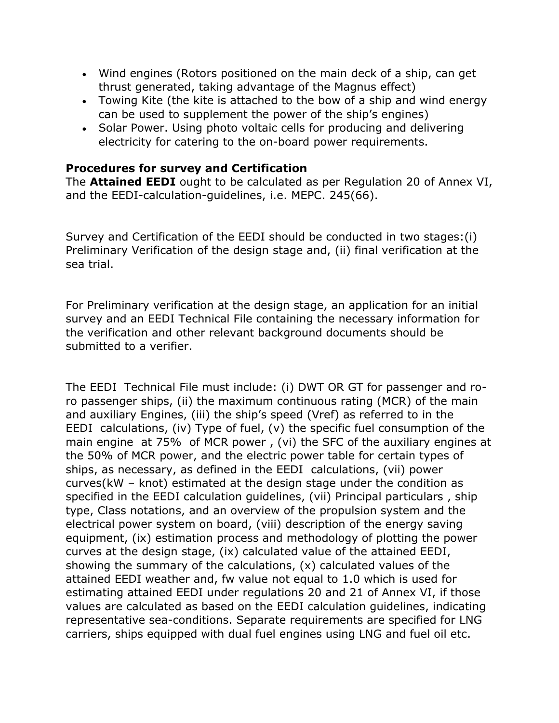- Wind engines (Rotors positioned on the main deck of a ship, can get thrust generated, taking advantage of the Magnus effect)
- Towing Kite (the kite is attached to the bow of a ship and wind energy can be used to supplement the power of the ship's engines)
- Solar Power. Using photo voltaic cells for producing and delivering electricity for catering to the on-board power requirements.

### **Procedures for survey and Certification**

The **Attained EEDI** ought to be calculated as per Regulation 20 of Annex VI, and the EEDI-calculation-guidelines, i.e. MEPC. 245(66).

Survey and Certification of the EEDI should be conducted in two stages:(i) Preliminary Verification of the design stage and, (ii) final verification at the sea trial.

For Preliminary verification at the design stage, an application for an initial survey and an EEDI Technical File containing the necessary information for the verification and other relevant background documents should be submitted to a verifier.

The EEDI Technical File must include: (i) DWT OR GT for passenger and roro passenger ships, (ii) the maximum continuous rating (MCR) of the main and auxiliary Engines, (iii) the ship's speed (Vref) as referred to in the EEDI calculations, (iv) Type of fuel, (v) the specific fuel consumption of the main engine at 75% of MCR power , (vi) the SFC of the auxiliary engines at the 50% of MCR power, and the electric power table for certain types of ships, as necessary, as defined in the EEDI calculations, (vii) power curves(kW – knot) estimated at the design stage under the condition as specified in the EEDI calculation guidelines, (vii) Principal particulars , ship type, Class notations, and an overview of the propulsion system and the electrical power system on board, (viii) description of the energy saving equipment, (ix) estimation process and methodology of plotting the power curves at the design stage, (ix) calculated value of the attained EEDI, showing the summary of the calculations, (x) calculated values of the attained EEDI weather and, fw value not equal to 1.0 which is used for estimating attained EEDI under regulations 20 and 21 of Annex VI, if those values are calculated as based on the EEDI calculation guidelines, indicating representative sea-conditions. Separate requirements are specified for LNG carriers, ships equipped with dual fuel engines using LNG and fuel oil etc.